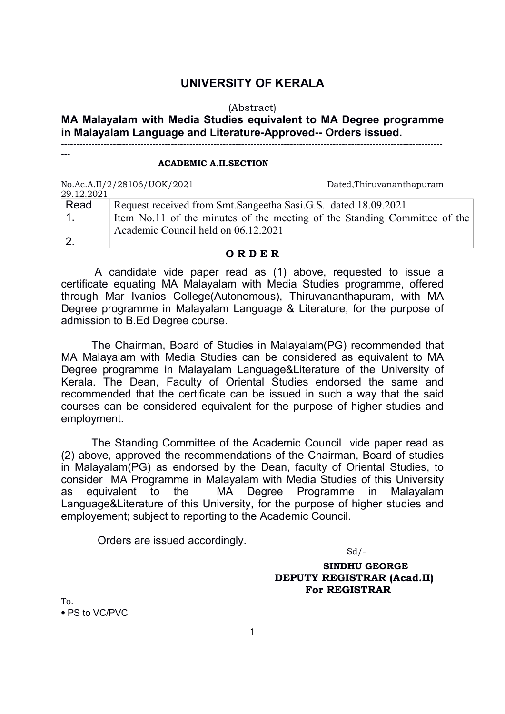## UNIVERSITY OF KERALA

#### (Abstract)

# MA Malayalam with Media Studies equivalent to MA Degree programme in Malayalam Language and Literature-Approved-- Orders issued.

-----------------------------------------------------------------------------------------------------------------------------

#### ACADEMIC A.II.SECTION

| 29.12.2021 | No.Ac.A.II/2/28106/UOK/2021                                               | Dated, Thiruvananthapuram |
|------------|---------------------------------------------------------------------------|---------------------------|
| Read       | Request received from Smt.Sangeetha Sasi.G.S. dated 18.09.2021            |                           |
|            | Item No.11 of the minutes of the meeting of the Standing Committee of the |                           |
|            | Academic Council held on 06.12.2021                                       |                           |
|            |                                                                           |                           |

#### O R D E R

A candidate vide paper read as (1) above, requested to issue a certificate equating MA Malayalam with Media Studies programme, offered through Mar Ivanios College(Autonomous), Thiruvananthapuram, with MA Degree programme in Malayalam Language & Literature, for the purpose of admission to B.Ed Degree course.

The Chairman, Board of Studies in Malayalam(PG) recommended that MA Malayalam with Media Studies can be considered as equivalent to MA Degree programme in Malayalam Language&Literature of the University of Kerala. The Dean, Faculty of Oriental Studies endorsed the same and recommended that the certificate can be issued in such a way that the said courses can be considered equivalent for the purpose of higher studies and employment.

The Standing Committee of the Academic Council vide paper read as (2) above, approved the recommendations of the Chairman, Board of studies in Malayalam(PG) as endorsed by the Dean, faculty of Oriental Studies, to consider MA Programme in Malayalam with Media Studies of this University as equivalent to the MA Degree Programme in Malayalam Language&Literature of this University, for the purpose of higher studies and employement; subject to reporting to the Academic Council.

Orders are issued accordingly.

 $Sd$  /-

 SINDHU GEORGE DEPUTY REGISTRAR (Acad.II) For REGISTRAR

To. ⦁ PS to VC/PVC

---